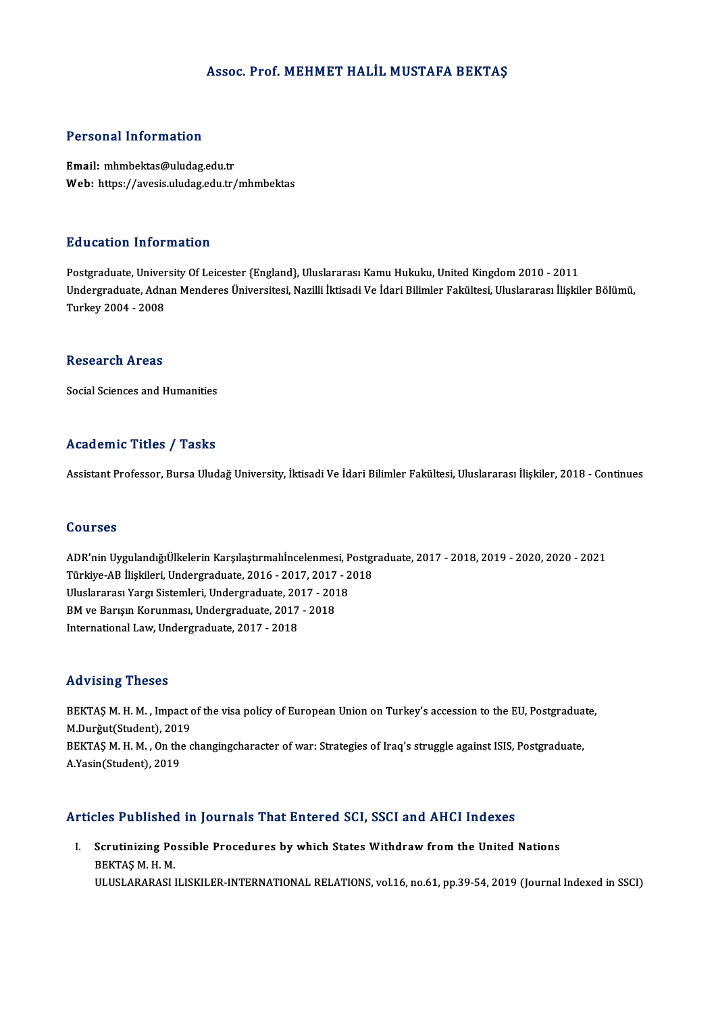## Assoc. Prof. MEHMET HALİL MUSTAFA BEKTAŞ

## Personal Information

Email: mhmbektas@uludag.edu.tr Web: https://avesis.uludag.edu.tr/mhmbektas

## Education Information

Postgraduate, University Of Leicester {England}, Uluslararası Kamu Hukuku, United Kingdom 2010 - 2011 Undergraduate, Adnan Menderes Üniversitesi, Nazilli İktisadi Ve İdari Bilimler Fakültesi, Uluslararası İlişkiler Bölümü, Turkey2004 -2008

## Research Areas

Social Sciences and Humanities

## Academic Titles / Tasks

Assistant Professor, Bursa Uludağ University, İktisadi Ve İdari Bilimler Fakültesi, Uluslararası İlişkiler, 2018 - Continues

### Courses

Courses<br>ADR'nin UygulandığıÜlkelerin Karşılaştırmalıİncelenmesi, Postgraduate, 2017 - 2018, 2019 - 2020, 2020 - 2021<br>Türkiye AB İlişkileri Undergraduate, 2016 - 2017, 2017 - 2019 Türkiye-<br>ADR'nin UygulandığıÜlkelerin Karşılaştırmalıİncelenmesi, Postgı<br>Türkiye-AB İlişkileri, Undergraduate, 2016 - 2017, 2017 - 2018<br>Uluslararası Yargı Sistemleri, Undergraduate, 2017, 2019 ADR'nin UygulandığıÜlkelerin Karşılaştırmalıİncelenmesi, P<br>Türkiye-AB İlişkileri, Undergraduate, 2016 - 2017, 2017 - 2<br>Uluslararası Yargı Sistemleri, Undergraduate, 2017 - 2018<br>PM ve Bayev Korunmesi, Undergraduate, 2017 - Türkiye-AB İlişkileri, Undergraduate, 2016 - 2017, 2017<br>Uluslararası Yargı Sistemleri, Undergraduate, 2017 - 201<br>BM ve Barışın Korunması, Undergraduate, 2017 - 2018<br>International Levy Undergraduate, 2017, 2019 Uluslararası Yargı Sistemleri, Undergraduate, 20<br>BM ve Barışın Korunması, Undergraduate, 2017<br>International Law, Undergraduate, 2017 - 2018 International Law, Undergraduate, 2017 - 2018<br>Advising Theses

Advising Theses<br>BEKTAŞ M. H. M. , Impact of the visa policy of European Union on Turkey's accession to the EU, Postgraduate,<br>M.Durğut(Student), 2019 MAY MANG THOOD<br>BEKTAŞ M. H. M. , Impact of<br>M.Durğut(Student), 2019<br>BEKTAS M. H. M. On the o BEKTAŞ M. H. M. , Impact of the visa policy of European Union on Turkey's accession to the EU, Postgradua<br>M.Durğut(Student), 2019<br>BEKTAŞ M. H. M. , On the changingcharacter of war: Strategies of Iraq's struggle against ISI M.Durğut(Student), 2019<br>BEKTAŞ M. H. M. , On the changingcharacter of war: Strategies of Iraq's struggle against ISIS, Postgraduate,<br>A.Yasin(Student), 2019

## Articles Published in Journals That Entered SCI, SSCI and AHCI Indexes

rticles Published in Journals That Entered SCI, SSCI and AHCI Indexes<br>I. Scrutinizing Possible Procedures by which States Withdraw from the United Nations<br>REKTAS M.H.M SEC 7 denomed<br>Scrutinizing Po<br>BEKTAŞ M. H. M.<br>HLUSI ARARASLI BEKTAŞ M. H. M.<br>ULUSLARARASI ILISKILER-INTERNATIONAL RELATIONS, vol.16, no.61, pp.39-54, 2019 (Journal Indexed in SSCI)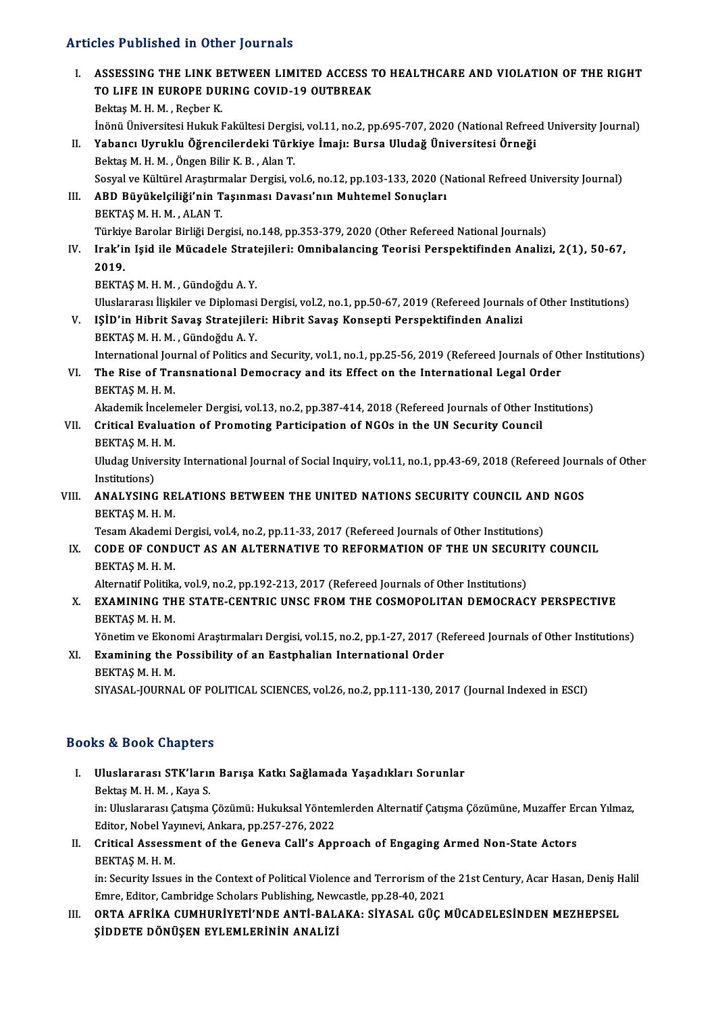- Articles Published in Other Journals TURNEY TRIANGLES Published in Other Journals<br>I. ASSESSING THE LINK BETWEEN LIMITED ACCESS TO HEALTHCARE AND VIOLATION OF THE RIGHT THE TRONGLE IN STREET JOURNALS<br>ASSESSING THE LINK BETWEEN LIMITED ACCESS 1<br>TO LIFE IN EUROPE DURING COVID-19 OUTBREAK<br>Beltes M.H.M., Beeber K. ASSESSING THE LINK B<br>TO LIFE IN EUROPE DU<br>Bektaş M. H. M. , Reçber K.<br>İnönü Üniversitesi Huladak TO LIFE IN EUROPE DURING COVID-19 OUTBREAK<br>Bektaş M. H. M. , Reçber K.<br>İnönü Üniversitesi Hukuk Fakültesi Dergisi, vol.11, no.2, pp.695-707, 2020 (National Refreed University Journal) Bektaş M. H. M. , Reçber K.<br>İnönü Üniversitesi Hukuk Fakültesi Dergisi, vol.11, no.2, pp.695-707, 2020 (National Refree<br>II. Yabancı Uyruklu Öğrencilerdeki Türkiye İmajı: Bursa Uludağ Üniversitesi Örneği<br>Pektas M. H. M. Öng İnönü Üniversitesi Hukuk Fakültesi Dergis<br>Yabancı Uyruklu Öğrencilerdeki Türk<br>Bektaş M. H. M. , Öngen Bilir K. B. , Alan T.<br>Sesval ve Kültürel Arastırmalar Dergisi ve Bektaş M. H. M. , Öngen Bilir K. B. , Alan T.<br>Sosyal ve Kültürel Araştırmalar Dergisi, vol.6, no.12, pp.103-133, 2020 (National Refreed University Journal) III. ABD Büyükelçiliği'nin Taşınması Davası'nın Muhtemel Sonuçları BEKTAŞM.H.M. ,ALANT. ABD Büyükelçiliği'nin Taşınması Davası'nın Muhtemel Sonuçları<br>BEKTAŞ M. H. M. , ALAN T.<br>Türkiye Barolar Birliği Dergisi, no.148, pp.353-379, 2020 (Other Refereed National Journals)<br>Irak'in Jeid ile Müsedele Stratejileri: O IV. Irak'in Işid ile Mücadele Stratejileri: Omnibalancing Teorisi Perspektifinden Analizi, 2(1), 50-67,<br>2019. Türkiy<br>I<mark>rak'iı</mark><br>2019. BEKTAŞM.H.M. ,GündoğduA.Y. 2019.<br>BEKTAŞ M. H. M. , Gündoğdu A. Y.<br>Uluslararası İlişkiler ve Diplomasi Dergisi, vol.2, no.1, pp.50-67, 2019 (Refereed Journals of Other Institutions)<br>ISİD'in Hibrit Savas Stratsiileri: Hibrit Savas Konsanti Paranaktifi BEKTAŞ M. H. M. , Gündoğdu A. Y.<br>Uluslararası İlişkiler ve Diplomasi Dergisi, vol.2, no.1, pp.50-67, 2019 (Refereed Journals<br>V. IŞİD'in Hibrit Savaş Stratejileri: Hibrit Savaş Konsepti Perspektifinden Analizi<br>PEKTAS M. Uluslararası İlişkiler ve Diplomasi<br>IŞİD'in Hibrit Savaş Stratejileı<br>BEKTAŞ M. H. M. , Gündoğdu A. Y.<br>International Journal of Politics en IŞİD'in Hibrit Savaş Stratejileri: Hibrit Savaş Konsepti Perspektifinden Analizi<br>BEKTAŞ M. H. M. , Gündoğdu A. Y.<br>International Journal of Politics and Security, vol.1, no.1, pp.25-56, 2019 (Refereed Journals of Other Inst BEKTAŞ M. H. M. , Gündoğdu A. Y.<br>International Journal of Politics and Security, vol.1, no.1, pp.25-56, 2019 (Refereed Journals of Order<br>VI. The Rise of Transnational Democracy and its Effect on the International Legal Ord International Jou<br>The Rise of Tra<br>BEKTAŞ M. H. M.<br>Akademik İncelet The Rise of Transnational Democracy and its Effect on the International Legal Order<br>BEKTAŞ M. H. M.<br>Akademik İncelemeler Dergisi, vol.13, no.2, pp.387-414, 2018 (Refereed Journals of Other Institutions)<br>Critical Evaluation BEKTAŞ M. H. M.<br>Akademik İncelemeler Dergisi, vol.13, no.2, pp.387-414, 2018 (Refereed Journals of Other In<br>VII. Critical Evaluation of Promoting Participation of NGOs in the UN Security Council<br>PEKTAS M. H. M Akademik İnceler<br>Critical Evaluat<br>BEKTAŞ M. H. M.<br>Uludaş Universit Uludag University International Journal of Social Inquiry, vol.11, no.1, pp.43-69, 2018 (Refereed Journals of Other<br>Institutions) BEKTAS M H M VIII. ANALYSING RELATIONS BETWEEN THE UNITED NATIONS SECURITY COUNCIL AND NGOS BEKTAŞM.H.M. ANALYSING RELATIONS BETWEEN THE UNITED NATIONS SECURITY COUNCIL AND<br>BEKTAŞ M. H. M.<br>Tesam Akademi Dergisi, vol.4, no.2, pp.11-33, 2017 (Refereed Journals of Other Institutions)<br>CODE OF CONDUCT AS AN ALTERNATIVE TO REFORMAT IX. CODE OF CONDUCT AS AN ALTERNATIVE TO REFORMATION OF THE UN SECURITY COUNCIL BEKTAS M. H. M. Tesam Akademi I<br>CODE OF COND<br>BEKTAŞ M. H. M.<br>Altannatif Palitiks CODE OF CONDUCT AS AN ALTERNATIVE TO REFORMATION OF THE UN SECURI<br>BEKTAŞ M. H. M.<br>Alternatif Politika, vol.9, no.2, pp.192-213, 2017 (Refereed Journals of Other Institutions)<br>EXAMINING THE STATE GENTRIC UNSG EROM THE COSMO X. EXAMINING THE STATE-CENTRIC UNSC FROM THE COSMOPOLITAN DEMOCRACY PERSPECTIVE<br>BEKTAŞ M. H. M. Alternatif Politika<br><mark>EXAMINING TH</mark><br>BEKTAŞ M. H. M.<br><sup>Vänatim</sup> ve Ekan EXAMINING THE STATE-CENTRIC UNSC FROM THE COSMOPOLITAN DEMOCRACY PERSPECTIVE<br>BEKTAŞ M. H. M.<br>Yönetim ve Ekonomi Araştırmaları Dergisi, vol.15, no.2, pp.1-27, 2017 (Refereed Journals of Other Institutions)<br>Evamining the Pes BEKTAŞ M. H. M.<br>Yönetim ve Ekonomi Araştırmaları Dergisi, vol.15, no.2, pp.1-27, 2017 (R<br>XI. Examining the Possibility of an Eastphalian International Order<br>PEKTAS M H M
	- Yönetim ve Ekon<br><mark>Examining the</mark><br>BEKTAŞ M. H. M.<br>SIVASAL TOUPNA XI. Examining the Possibility of an Eastphalian International Order<br>BEKTAŞ M. H. M.<br>SIYASAL-JOURNAL OF POLITICAL SCIENCES, vol.26, no.2, pp.111-130, 2017 (Journal Indexed in ESCI)

# Books&Book Chapters

- ooks & Book Chapters<br>I. Uluslararası STK'ların Barışa Katkı Sağlamada Yaşadıkları Sorunlar<br>Rektas M. H. M. Kaya S to & Book unaptered<br>Bektaş M. H. M. , Kaya S.<br>İn: Uluslararesi Catama Uluslararası STK'ların Barışa Katkı Sağlamada Yaşadıkları Sorunlar<br>Bektaş M. H. M. , Kaya S.<br>in: Uluslararası Çatışma Çözümü: Hukuksal Yöntemlerden Alternatif Çatışma Çözümüne, Muzaffer Ercan Yılmaz,<br>Editer Nebel Yaynayi, Bektaş M. H. M. , Kaya S.<br>in: Uluslararası Çatışma Çözümü: Hukuksal Yönten<br>Editor, Nobel Yayınevi, Ankara, pp.257-276, 2022<br>Critical Assessment of the Coneve Call's Ann In: Uluslararası Çatışma Çözümü: Hukuksal Yöntemlerden Alternatif Çatışma Çözümüne, Muzaffer Er<br>Editor, Nobel Yayınevi, Ankara, pp.257-276, 2022<br>II. Critical Assessment of the Geneva Call's Approach of Engaging Armed Non-S
- Editor, Nobel Yayınevi, Ankara, pp.257-276, 2022<br>II. Critical Assessment of the Geneva Call's Approach of Engaging Armed Non-State Actors<br>BEKTAŞ M. H. M. Critical Assessment of the Geneva Call's Approach of Engaging Armed Non-State Actors<br>BEKTAŞ M. H. M.<br>in: Security Issues in the Context of Political Violence and Terrorism of the 21st Century, Acar Hasan, Deniş Halil<br>Emre

BEKTAŞ M. H. M.<br>in: Security Issues in the Context of Political Violence and Terrorism of th<br>Emre, Editor, Cambridge Scholars Publishing, Newcastle, pp.28-40, 2021<br>OPTA, AERİKA, CUMUURİYETİ'NDE, ANTİ, RALAKA, SİVASAL, CÜC Emre, Editor, Cambridge Scholars Publishing, Newcastle, pp.28-40, 2021<br>III. ORTA AFRİKA CUMHURİYETİ'NDE ANTİ-BALAKA: SİYASAL GÜÇ MÜCADELESİNDEN MEZHEPSEL

ŞİDDETE DÖNÜŞEN EYLEMLERİNİN ANALİZİ